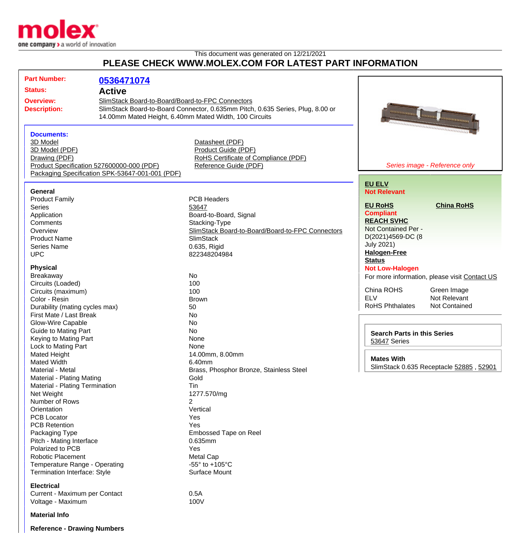

## This document was generated on 12/21/2021 **PLEASE CHECK WWW.MOLEX.COM FOR LATEST PART INFORMATION**

| <b>Part Number:</b>                                                  | 0536471074                                      |                                                                                |                                                              |                                               |
|----------------------------------------------------------------------|-------------------------------------------------|--------------------------------------------------------------------------------|--------------------------------------------------------------|-----------------------------------------------|
| <b>Status:</b>                                                       | <b>Active</b>                                   |                                                                                |                                                              |                                               |
| SlimStack Board-to-Board/Board-to-FPC Connectors<br><b>Overview:</b> |                                                 |                                                                                |                                                              |                                               |
| <b>Description:</b>                                                  |                                                 | SlimStack Board-to-Board Connector, 0.635mm Pitch, 0.635 Series, Plug, 8.00 or |                                                              |                                               |
|                                                                      |                                                 | 14.00mm Mated Height, 6.40mm Mated Width, 100 Circuits                         | <b><i><u>montonio monto</u></i></b>                          |                                               |
|                                                                      |                                                 |                                                                                |                                                              | <b>Automotive</b>                             |
| <b>Documents:</b>                                                    |                                                 |                                                                                |                                                              |                                               |
| 3D Model                                                             |                                                 | Datasheet (PDF)                                                                |                                                              |                                               |
| 3D Model (PDF)                                                       |                                                 | Product Guide (PDF)                                                            |                                                              |                                               |
| Drawing (PDF)                                                        |                                                 | RoHS Certificate of Compliance (PDF)                                           |                                                              |                                               |
| Product Specification 527600000-000 (PDF)                            |                                                 | Reference Guide (PDF)                                                          |                                                              | Series image - Reference only                 |
|                                                                      | Packaging Specification SPK-53647-001-001 (PDF) |                                                                                |                                                              |                                               |
|                                                                      |                                                 |                                                                                | <b>EU ELV</b>                                                |                                               |
| General                                                              |                                                 |                                                                                | <b>Not Relevant</b>                                          |                                               |
| <b>Product Family</b>                                                |                                                 | <b>PCB Headers</b>                                                             |                                                              |                                               |
| <b>Series</b>                                                        |                                                 | 53647                                                                          | <b>EU RoHS</b>                                               | <b>China RoHS</b>                             |
| Application                                                          |                                                 | Board-to-Board, Signal                                                         | <b>Compliant</b>                                             |                                               |
| Comments                                                             |                                                 | Stacking-Type                                                                  | <b>REACH SVHC</b>                                            |                                               |
| Overview                                                             |                                                 | SlimStack Board-to-Board/Board-to-FPC Connectors                               | Not Contained Per -                                          |                                               |
| <b>Product Name</b>                                                  |                                                 | <b>SlimStack</b>                                                               | D(2021)4569-DC (8                                            |                                               |
| <b>Series Name</b>                                                   |                                                 | 0.635, Rigid                                                                   | <b>July 2021)</b>                                            |                                               |
| <b>UPC</b>                                                           |                                                 | 822348204984                                                                   | <b>Halogen-Free</b>                                          |                                               |
|                                                                      |                                                 |                                                                                | <b>Status</b>                                                |                                               |
| <b>Physical</b>                                                      |                                                 |                                                                                | <b>Not Low-Halogen</b>                                       |                                               |
| Breakaway                                                            |                                                 | No                                                                             |                                                              | For more information, please visit Contact US |
| Circuits (Loaded)                                                    |                                                 | 100                                                                            |                                                              |                                               |
| Circuits (maximum)                                                   |                                                 | 100                                                                            | China ROHS                                                   | Green Image                                   |
| Color - Resin                                                        |                                                 | <b>Brown</b>                                                                   | <b>ELV</b>                                                   | Not Relevant                                  |
| Durability (mating cycles max)                                       |                                                 | 50                                                                             | <b>RoHS Phthalates</b>                                       | <b>Not Contained</b>                          |
| First Mate / Last Break                                              |                                                 | No                                                                             |                                                              |                                               |
| Glow-Wire Capable                                                    |                                                 | No                                                                             |                                                              |                                               |
| <b>Guide to Mating Part</b>                                          |                                                 | No                                                                             | <b>Search Parts in this Series</b>                           |                                               |
| Keying to Mating Part                                                |                                                 | None                                                                           | 53647 Series                                                 |                                               |
| Lock to Mating Part                                                  |                                                 | None                                                                           |                                                              |                                               |
| Mated Height                                                         |                                                 | 14.00mm, 8.00mm                                                                |                                                              |                                               |
| <b>Mated Width</b>                                                   |                                                 | 6.40mm                                                                         | <b>Mates With</b><br>SlimStack 0.635 Receptacle 52885, 52901 |                                               |
| Material - Metal                                                     |                                                 | Brass, Phosphor Bronze, Stainless Steel                                        |                                                              |                                               |
| Material - Plating Mating                                            |                                                 | Gold                                                                           |                                                              |                                               |
| Material - Plating Termination                                       |                                                 | Tin                                                                            |                                                              |                                               |
| Net Weight                                                           |                                                 | 1277.570/mg                                                                    |                                                              |                                               |
| Number of Rows                                                       |                                                 | $\overline{2}$                                                                 |                                                              |                                               |
| Orientation                                                          |                                                 | Vertical                                                                       |                                                              |                                               |
| <b>PCB Locator</b>                                                   |                                                 | Yes                                                                            |                                                              |                                               |
| <b>PCB Retention</b>                                                 |                                                 | Yes                                                                            |                                                              |                                               |
| Packaging Type                                                       |                                                 | <b>Embossed Tape on Reel</b>                                                   |                                                              |                                               |
| Pitch - Mating Interface                                             |                                                 | 0.635mm                                                                        |                                                              |                                               |
| Polarized to PCB                                                     |                                                 | Yes                                                                            |                                                              |                                               |
| Robotic Placement                                                    |                                                 | Metal Cap                                                                      |                                                              |                                               |
| Temperature Range - Operating                                        |                                                 | -55 $\degree$ to +105 $\degree$ C                                              |                                                              |                                               |
| Termination Interface: Style                                         |                                                 | Surface Mount                                                                  |                                                              |                                               |
| <b>Electrical</b>                                                    |                                                 |                                                                                |                                                              |                                               |
| Current - Maximum per Contact                                        |                                                 | 0.5A                                                                           |                                                              |                                               |
| Voltage - Maximum                                                    |                                                 | 100V                                                                           |                                                              |                                               |
| <b>Material Info</b>                                                 |                                                 |                                                                                |                                                              |                                               |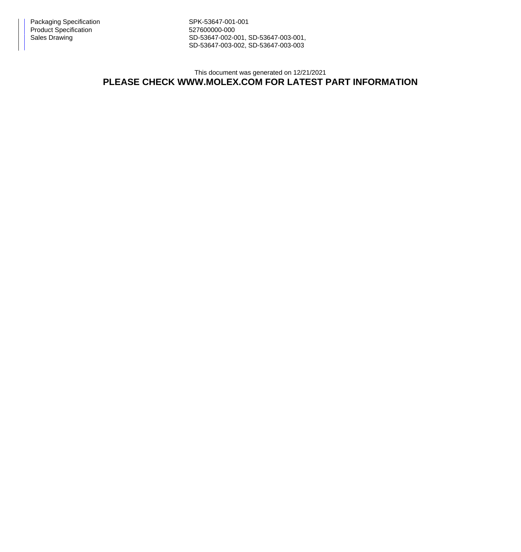Packaging Specification Network SPK-53647-001-001 Product Specification 627600000-000

Sales Drawing Sales Drawing SD-53647-002-001, SD-53647-003-001, SD-53647-003-002, SD-53647-003-003

## This document was generated on 12/21/2021 **PLEASE CHECK WWW.MOLEX.COM FOR LATEST PART INFORMATION**